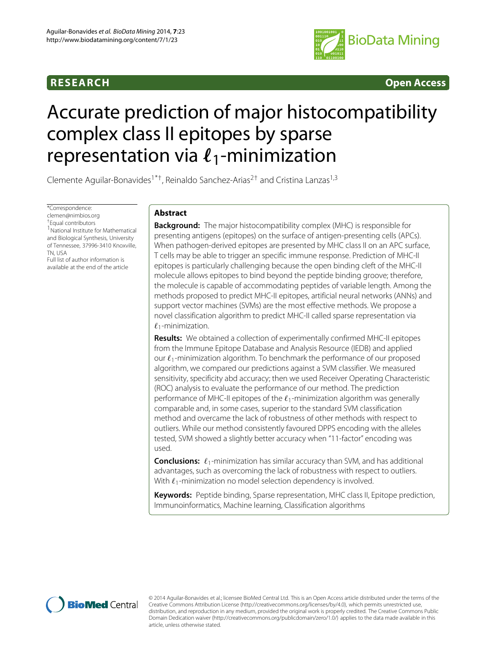

**RESEARCH Open Access**

# Accurate prediction of major histocompatibility complex class II epitopes by sparse representation via  $\ell_1$ -minimization

Clemente Aguilar-Bonavides<sup>1\*†</sup>, Reinaldo Sanchez-Arias<sup>2†</sup> and Cristina Lanzas<sup>1,3</sup>

\*Correspondence: [clemen@nimbios.org](mailto: clemen@nimbios.org) †Equal contributors <sup>1</sup> National Institute for Mathematical and Biological Synthesis, University of Tennessee, 37996-3410 Knoxville, TN, USA Full list of author information is available at the end of the article

# **Abstract**

**Background:** The major histocompatibility complex (MHC) is responsible for presenting antigens (epitopes) on the surface of antigen-presenting cells (APCs). When pathogen-derived epitopes are presented by MHC class II on an APC surface, T cells may be able to trigger an specific immune response. Prediction of MHC-II epitopes is particularly challenging because the open binding cleft of the MHC-II molecule allows epitopes to bind beyond the peptide binding groove; therefore, the molecule is capable of accommodating peptides of variable length. Among the methods proposed to predict MHC-II epitopes, artificial neural networks (ANNs) and support vector machines (SVMs) are the most effective methods. We propose a novel classification algorithm to predict MHC-II called sparse representation via  $\ell_1$ -minimization.

**Results:** We obtained a collection of experimentally confirmed MHC-II epitopes from the Immune Epitope Database and Analysis Resource (IEDB) and applied our  $\ell_1$ -minimization algorithm. To benchmark the performance of our proposed algorithm, we compared our predictions against a SVM classifier. We measured sensitivity, specificity abd accuracy; then we used Receiver Operating Characteristic (ROC) analysis to evaluate the performance of our method. The prediction performance of MHC-II epitopes of the  $\ell_1$ -minimization algorithm was generally comparable and, in some cases, superior to the standard SVM classification method and overcame the lack of robustness of other methods with respect to outliers. While our method consistently favoured DPPS encoding with the alleles tested, SVM showed a slightly better accuracy when "11-factor" encoding was used.

**Conclusions:**  $\ell_1$ -minimization has similar accuracy than SVM, and has additional advantages, such as overcoming the lack of robustness with respect to outliers. With  $\ell_1$ -minimization no model selection dependency is involved.

**Keywords:** Peptide binding, Sparse representation, MHC class II, Epitope prediction, Immunoinformatics, Machine learning, Classification algorithms



© 2014 Aguilar-Bonavides et al.; licensee BioMed Central Ltd. This is an Open Access article distributed under the terms of the Creative Commons Attribution License [\(http://creativecommons.org/licenses/by/4.0\)](http://creativecommons.org/licenses/by/4.0), which permits unrestricted use, distribution, and reproduction in any medium, provided the original work is properly credited. The Creative Commons Public Domain Dedication waiver [\(http://creativecommons.org/publicdomain/zero/1.0/\)](http://creativecommons.org/publicdomain/zero/1.0/) applies to the data made available in this article, unless otherwise stated.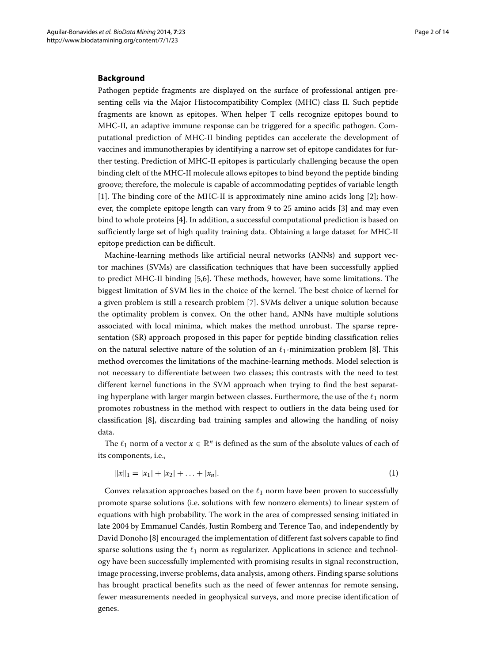#### **Background**

Pathogen peptide fragments are displayed on the surface of professional antigen presenting cells via the Major Histocompatibility Complex (MHC) class II. Such peptide fragments are known as epitopes. When helper T cells recognize epitopes bound to MHC-II, an adaptive immune response can be triggered for a specific pathogen. Computational prediction of MHC-II binding peptides can accelerate the development of vaccines and immunotherapies by identifying a narrow set of epitope candidates for further testing. Prediction of MHC-II epitopes is particularly challenging because the open binding cleft of the MHC-II molecule allows epitopes to bind beyond the peptide binding groove; therefore, the molecule is capable of accommodating peptides of variable length [\[1\]](#page-13-0). The binding core of the MHC-II is approximately nine amino acids long [\[2\]](#page-13-1); however, the complete epitope length can vary from 9 to 25 amino acids [\[3\]](#page-13-2) and may even bind to whole proteins [\[4\]](#page-13-3). In addition, a successful computational prediction is based on sufficiently large set of high quality training data. Obtaining a large dataset for MHC-II epitope prediction can be difficult.

Machine-learning methods like artificial neural networks (ANNs) and support vector machines (SVMs) are classification techniques that have been successfully applied to predict MHC-II binding [\[5,](#page-13-4)[6\]](#page-13-5). These methods, however, have some limitations. The biggest limitation of SVM lies in the choice of the kernel. The best choice of kernel for a given problem is still a research problem [\[7\]](#page-13-6). SVMs deliver a unique solution because the optimality problem is convex. On the other hand, ANNs have multiple solutions associated with local minima, which makes the method unrobust. The sparse representation (SR) approach proposed in this paper for peptide binding classification relies on the natural selective nature of the solution of an  $\ell_1$ -minimization problem [\[8\]](#page-13-7). This method overcomes the limitations of the machine-learning methods. Model selection is not necessary to differentiate between two classes; this contrasts with the need to test different kernel functions in the SVM approach when trying to find the best separating hyperplane with larger margin between classes. Furthermore, the use of the  $\ell_1$  norm promotes robustness in the method with respect to outliers in the data being used for classification [\[8\]](#page-13-7), discarding bad training samples and allowing the handling of noisy data.

The  $\ell_1$  norm of a vector  $x \in \mathbb{R}^n$  is defined as the sum of the absolute values of each of its components, i.e.,

$$
||x||_1 = |x_1| + |x_2| + \ldots + |x_n|.
$$
 (1)

Convex relaxation approaches based on the  $\ell_1$  norm have been proven to successfully promote sparse solutions (i.e. solutions with few nonzero elements) to linear system of equations with high probability. The work in the area of compressed sensing initiated in late 2004 by Emmanuel Candés, Justin Romberg and Terence Tao, and independently by David Donoho [\[8\]](#page-13-7) encouraged the implementation of different fast solvers capable to find sparse solutions using the  $\ell_1$  norm as regularizer. Applications in science and technology have been successfully implemented with promising results in signal reconstruction, image processing, inverse problems, data analysis, among others. Finding sparse solutions has brought practical benefits such as the need of fewer antennas for remote sensing, fewer measurements needed in geophysical surveys, and more precise identification of genes.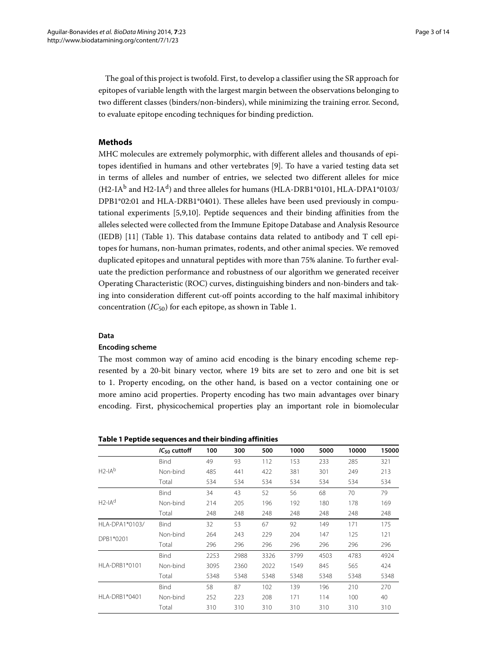The goal of this project is twofold. First, to develop a classifier using the SR approach for epitopes of variable length with the largest margin between the observations belonging to two different classes (binders/non-binders), while minimizing the training error. Second, to evaluate epitope encoding techniques for binding prediction.

# **Methods**

MHC molecules are extremely polymorphic, with different alleles and thousands of epitopes identified in humans and other vertebrates [\[9\]](#page-13-8). To have a varied testing data set in terms of alleles and number of entries, we selected two different alleles for mice (H2-IA<sup>b</sup> and H2-IA<sup>d</sup>) and three alleles for humans (HLA-DRB1\*0101, HLA-DPA1\*0103/ DPB1\*02:01 and HLA-DRB1\*0401). These alleles have been used previously in computational experiments [\[5,](#page-13-4)[9,](#page-13-8)[10\]](#page-13-9). Peptide sequences and their binding affinities from the alleles selected were collected from the Immune Epitope Database and Analysis Resource (IEDB) [\[11\]](#page-13-10) (Table [1\)](#page-2-0). This database contains data related to antibody and T cell epitopes for humans, non-human primates, rodents, and other animal species. We removed duplicated epitopes and unnatural peptides with more than 75% alanine. To further evaluate the prediction performance and robustness of our algorithm we generated receiver Operating Characteristic (ROC) curves, distinguishing binders and non-binders and taking into consideration different cut-off points according to the half maximal inhibitory concentration (*IC*50) for each epitope, as shown in Table [1.](#page-2-0)

### **Data**

#### **Encoding scheme**

The most common way of amino acid encoding is the binary encoding scheme represented by a 20-bit binary vector, where 19 bits are set to zero and one bit is set to 1. Property encoding, on the other hand, is based on a vector containing one or more amino acid properties. Property encoding has two main advantages over binary encoding. First, physicochemical properties play an important role in biomolecular

<span id="page-2-0"></span>**Table 1 Peptide sequences and their binding affinities**

|                | $IC_{50}$ cuttoff | 100  | 300  | 500  | 1000 | 5000 | 10000 | 15000 |
|----------------|-------------------|------|------|------|------|------|-------|-------|
|                | <b>Bind</b>       | 49   | 93   | 112  | 153  | 233  | 285   | 321   |
| $H2-IAb$       | Non-bind          | 485  | 441  | 422  | 381  | 301  | 249   | 213   |
|                | Total             | 534  | 534  | 534  | 534  | 534  | 534   | 534   |
|                | <b>Bind</b>       | 34   | 43   | 52   | 56   | 68   | 70    | 79    |
| $H2-IAd$       | Non-bind          | 214  | 205  | 196  | 192  | 180  | 178   | 169   |
|                | Total             | 248  | 248  | 248  | 248  | 248  | 248   | 248   |
| HLA-DPA1*0103/ | <b>Bind</b>       | 32   | 53   | 67   | 92   | 149  | 171   | 175   |
| DPB1*0201      | Non-bind          | 264  | 243  | 229  | 204  | 147  | 125   | 121   |
|                | Total             | 296  | 296  | 296  | 296  | 296  | 296   | 296   |
|                | <b>Bind</b>       | 2253 | 2988 | 3326 | 3799 | 4503 | 4783  | 4924  |
| HLA-DRB1*0101  | Non-bind          | 3095 | 2360 | 2022 | 1549 | 845  | 565   | 424   |
|                | Total             | 5348 | 5348 | 5348 | 5348 | 5348 | 5348  | 5348  |
|                | <b>Bind</b>       | 58   | 87   | 102  | 139  | 196  | 210   | 270   |
| HLA-DRB1*0401  | Non-bind          | 252  | 223  | 208  | 171  | 114  | 100   | 40    |
|                | Total             | 310  | 310  | 310  | 310  | 310  | 310   | 310   |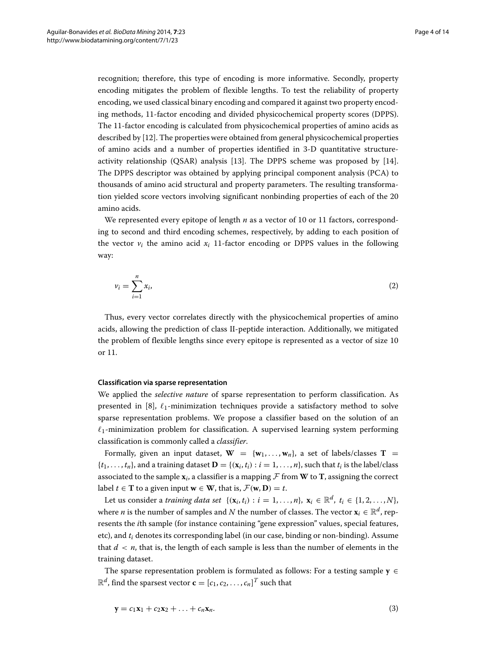recognition; therefore, this type of encoding is more informative. Secondly, property encoding mitigates the problem of flexible lengths. To test the reliability of property encoding, we used classical binary encoding and compared it against two property encoding methods, 11-factor encoding and divided physicochemical property scores (DPPS). The 11-factor encoding is calculated from physicochemical properties of amino acids as described by [\[12\]](#page-13-11). The properties were obtained from general physicochemical properties of amino acids and a number of properties identified in 3-D quantitative structureactivity relationship (QSAR) analysis [\[13\]](#page-13-12). The DPPS scheme was proposed by [\[14\]](#page-13-13). The DPPS descriptor was obtained by applying principal component analysis (PCA) to thousands of amino acid structural and property parameters. The resulting transformation yielded score vectors involving significant nonbinding properties of each of the 20 amino acids.

We represented every epitope of length *n* as a vector of 10 or 11 factors, corresponding to second and third encoding schemes, respectively, by adding to each position of the vector  $v_i$  the amino acid  $x_i$  11-factor encoding or DPPS values in the following way:

$$
v_i = \sum_{i=1}^n x_i,\tag{2}
$$

Thus, every vector correlates directly with the physicochemical properties of amino acids, allowing the prediction of class II-peptide interaction. Additionally, we mitigated the problem of flexible lengths since every epitope is represented as a vector of size 10 or 11.

#### **Classification via sparse representation**

We applied the *selective nature* of sparse representation to perform classification. As presented in [\[8\]](#page-13-7),  $\ell_1$ -minimization techniques provide a satisfactory method to solve sparse representation problems. We propose a classifier based on the solution of an  $\ell_1$ -minimization problem for classification. A supervised learning system performing classification is commonly called a *classifier*.

Formally, given an input dataset,  $W = \{w_1, \ldots, w_n\}$ , a set of labels/classes  $T =$  $\{t_1, \ldots, t_n\}$ , and a training dataset  $\mathbf{D} = \{(\mathbf{x}_i, t_i) : i = 1, \ldots, n\}$ , such that  $t_i$  is the label/class associated to the sample  $\mathbf{x}_i$ , a classifier is a mapping  $\mathcal F$  from **W** to **T**, assigning the correct label  $t \in$  **T** to a given input  $\mathbf{w} \in$  **W**, that is,  $\mathcal{F}(\mathbf{w}, \mathbf{D}) = t$ .

Let us consider a *training data set*  $\{(\mathbf{x}_i, t_i) : i = 1, \ldots, n\}, \mathbf{x}_i \in \mathbb{R}^d, t_i \in \{1, 2, \ldots, N\}$ where *n* is the number of samples and *N* the number of classes. The vector  $\mathbf{x}_i \in \mathbb{R}^d$ , represents the *i*th sample (for instance containing "gene expression" values, special features, etc), and *ti* denotes its corresponding label (in our case, binding or non-binding). Assume that  $d \leq n$ , that is, the length of each sample is less than the number of elements in the training dataset.

The sparse representation problem is formulated as follows: For a testing sample  $y \in$  $\mathbb{R}^d$ , find the sparsest vector  $\mathbf{c} = [c_1, c_2, \dots, c_n]^T$  such that

<span id="page-3-0"></span>
$$
y = c_1 x_1 + c_2 x_2 + \ldots + c_n x_n.
$$
 (3)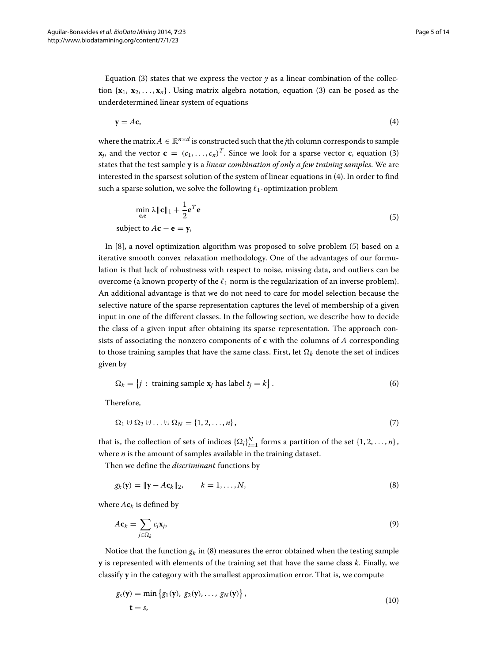Equation [\(3\)](#page-3-0) states that we express the vector  $y$  as a linear combination of the collection  $\{x_1, x_2, \ldots, x_n\}$ . Using matrix algebra notation, equation [\(3\)](#page-3-0) can be posed as the underdetermined linear system of equations

<span id="page-4-0"></span>
$$
y = Ac,
$$
 (4)

where the matrix  $A \in \mathbb{R}^{n \times d}$  is constructed such that the *j*th column corresponds to sample  $\mathbf{x}_j$ , and the vector  $\mathbf{c} = (c_1, \ldots, c_n)^T$ . Since we look for a sparse vector **c**, equation [\(3\)](#page-3-0) states that the test sample **y** is a *linear combination of only a few training samples*. We are interested in the sparsest solution of the system of linear equations in [\(4\)](#page-4-0). In order to find such a sparse solution, we solve the following  $\ell_1$ -optimization problem

<span id="page-4-1"></span>
$$
\min_{\mathbf{c}, \mathbf{e}} \lambda \|\mathbf{c}\|_1 + \frac{1}{2} \mathbf{e}^T \mathbf{e}
$$
  
subject to  $A\mathbf{c} - \mathbf{e} = \mathbf{y}$ , (5)

In [\[8\]](#page-13-7), a novel optimization algorithm was proposed to solve problem [\(5\)](#page-4-1) based on a iterative smooth convex relaxation methodology. One of the advantages of our formulation is that lack of robustness with respect to noise, missing data, and outliers can be overcome (a known property of the  $\ell_1$  norm is the regularization of an inverse problem). An additional advantage is that we do not need to care for model selection because the selective nature of the sparse representation captures the level of membership of a given input in one of the different classes. In the following section, we describe how to decide the class of a given input after obtaining its sparse representation. The approach consists of associating the nonzero components of **c** with the columns of *<sup>A</sup>* corresponding to those training samples that have the same class. First, let  $\Omega_k$  denote the set of indices given by

$$
\Omega_k = \{j : \text{training sample } \mathbf{x}_j \text{ has label } t_j = k\}.
$$
 (6)

Therefore,

$$
\Omega_1 \cup \Omega_2 \cup \ldots \cup \Omega_N = \{1, 2, \ldots, n\},\tag{7}
$$

that is, the collection of sets of indices  $\{\Omega_i\}_{i=1}^N$  forms a partition of the set  $\{1, 2, ..., n\}$ , where *n* is the amount of samples available in the training dataset.

Then we define the *discriminant* functions by

<span id="page-4-2"></span>
$$
g_k(\mathbf{y}) = \|\mathbf{y} - A\mathbf{c}_k\|_2, \qquad k = 1, \dots, N,
$$
\n(8)

where  $A\mathbf{c}_k$  is defined by

$$
Ac_k = \sum_{j \in \Omega_k} c_j \mathbf{x}_j, \tag{9}
$$

Notice that the function  $g_k$  in [\(8\)](#page-4-2) measures the error obtained when the testing sample **y** is represented with elements of the training set that have the same class *<sup>k</sup>*. Finally, we classify **y** in the category with the smallest approximation error. That is, we compute

$$
g_s(\mathbf{y}) = \min \left\{ g_1(\mathbf{y}), g_2(\mathbf{y}), \dots, g_N(\mathbf{y}) \right\},
$$
  
\n
$$
\mathbf{t} = s,
$$
\n(10)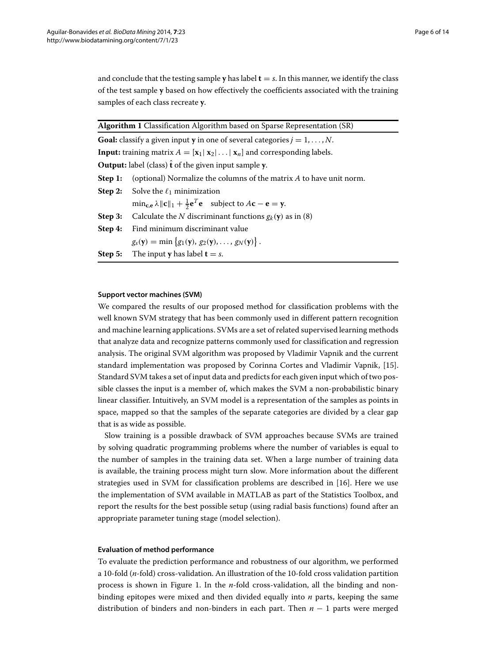and conclude that the testing sample **y** has label  $t = s$ . In this manner, we identify the class of the test sample **y** based on how effectively the coefficients associated with the training samples of each class recreate **y**.

|         | Algorithm 1 Classification Algorithm based on Sparse Representation (SR)                                                                         |
|---------|--------------------------------------------------------------------------------------------------------------------------------------------------|
|         | <b>Goal:</b> classify a given input <b>y</b> in one of several categories $j = 1, , N$ .                                                         |
|         | <b>Input:</b> training matrix $A = [\mathbf{x}_1   \mathbf{x}_2   \dots   \mathbf{x}_n]$ and corresponding labels.                               |
|         | <b>Output:</b> label (class) $\hat{\mathbf{t}}$ of the given input sample y.                                                                     |
| Step 1: | (optional) Normalize the columns of the matrix $A$ to have unit norm.                                                                            |
|         | <b>Step 2:</b> Solve the $\ell_1$ minimization                                                                                                   |
|         | $\min_{\mathbf{c},\mathbf{e}} \lambda \ \mathbf{c}\ _1 + \frac{1}{2}\mathbf{e}^T\mathbf{e}$ subject to $A\mathbf{c} - \mathbf{e} = \mathbf{y}$ . |
| Step 3: | Calculate the N discriminant functions $g_k(y)$ as in (8)                                                                                        |
| Step 4: | Find minimum discriminant value                                                                                                                  |
|         | $g_s(y) = \min \{g_1(y), g_2(y), \ldots, g_N(y)\}.$                                                                                              |
|         | <b>Step 5:</b> The input <b>y</b> has label $t = s$ .                                                                                            |

# **Support vector machines (SVM)**

We compared the results of our proposed method for classification problems with the well known SVM strategy that has been commonly used in different pattern recognition and machine learning applications. SVMs are a set of related supervised learning methods that analyze data and recognize patterns commonly used for classification and regression analysis. The original SVM algorithm was proposed by Vladimir Vapnik and the current standard implementation was proposed by Corinna Cortes and Vladimir Vapnik, [\[15\]](#page-13-14). Standard SVM takes a set of input data and predicts for each given input which of two possible classes the input is a member of, which makes the SVM a non-probabilistic binary linear classifier. Intuitively, an SVM model is a representation of the samples as points in space, mapped so that the samples of the separate categories are divided by a clear gap that is as wide as possible.

Slow training is a possible drawback of SVM approaches because SVMs are trained by solving quadratic programming problems where the number of variables is equal to the number of samples in the training data set. When a large number of training data is available, the training process might turn slow. More information about the different strategies used in SVM for classification problems are described in [\[16\]](#page-13-15). Here we use the implementation of SVM available in MATLAB as part of the Statistics Toolbox, and report the results for the best possible setup (using radial basis functions) found after an appropriate parameter tuning stage (model selection).

### **Evaluation of method performance**

To evaluate the prediction performance and robustness of our algorithm, we performed a 10-fold (*n*-fold) cross-validation. An illustration of the 10-fold cross validation partition process is shown in Figure [1.](#page-6-0) In the *n*-fold cross-validation, all the binding and nonbinding epitopes were mixed and then divided equally into *n* parts, keeping the same distribution of binders and non-binders in each part. Then *n* − 1 parts were merged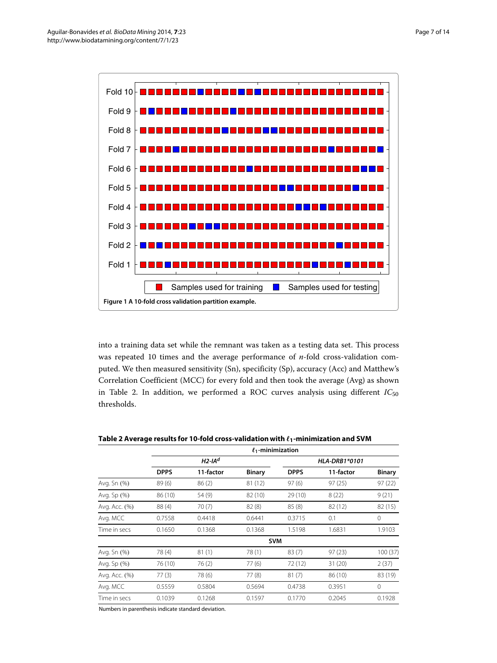

<span id="page-6-0"></span>into a training data set while the remnant was taken as a testing data set. This process was repeated 10 times and the average performance of *n*-fold cross-validation computed. We then measured sensitivity (Sn), specificity (Sp), accuracy (Acc) and Matthew's Correlation Coefficient (MCC) for every fold and then took the average (Avg) as shown in Table [2.](#page-6-1) In addition, we performed a ROC curves analysis using different  $IC_{50}$ thresholds.

|               |             |                       | $\ell_1$ -minimization |               |           |               |  |
|---------------|-------------|-----------------------|------------------------|---------------|-----------|---------------|--|
|               |             | $H2$ -IA <sup>d</sup> |                        | HLA-DRB1*0101 |           |               |  |
|               | <b>DPPS</b> | 11-factor             | <b>Binary</b>          | <b>DPPS</b>   | 11-factor | <b>Binary</b> |  |
| Avg. Sn (%)   | 89(6)       | 86(2)                 | 81 (12)                | 97(6)         | 97(25)    | 97(22)        |  |
| Avg. Sp (%)   | 86 (10)     | 54 (9)                | 82 (10)                | 29 (10)       | 8(22)     | 9(21)         |  |
| Avg. Acc. (%) | 88 (4)      | 70(7)                 | 82(8)                  | 85(8)         | 82 (12)   | 82(15)        |  |
| Avg. MCC      | 0.7558      | 0.4418                | 0.6441                 | 0.3715        | 0.1       | 0             |  |
| Time in secs  | 0.1650      | 0.1368                | 0.1368                 | 1.5198        | 1.6831    | 1.9103        |  |
|               |             |                       |                        | <b>SVM</b>    |           |               |  |
| Avg. Sn (%)   | 78 (4)      | 81(1)                 | 78(1)                  | 83(7)         | 97(23)    | 100 (37)      |  |
| Avg. Sp (%)   | 76 (10)     | 76(2)                 | 77(6)                  | 72 (12)       | 31(20)    | 2(37)         |  |
| Avg. Acc. (%) | 77(3)       | 78 (6)                | 77(8)                  | 81(7)         | 86 (10)   | 83 (19)       |  |
| Avg. MCC      | 0.5559      | 0.5804                | 0.5694                 | 0.4738        | 0.3951    | $\mathbf{0}$  |  |
| Time in secs  | 0.1039      | 0.1268                | 0.1597                 | 0.1770        | 0.2045    | 0.1928        |  |
|               |             |                       |                        |               |           |               |  |

<span id="page-6-1"></span>Table 2 Average results for 10-fold cross-validation with  $\ell_1$ -minimization and SVM

Numbers in parenthesis indicate standard deviation.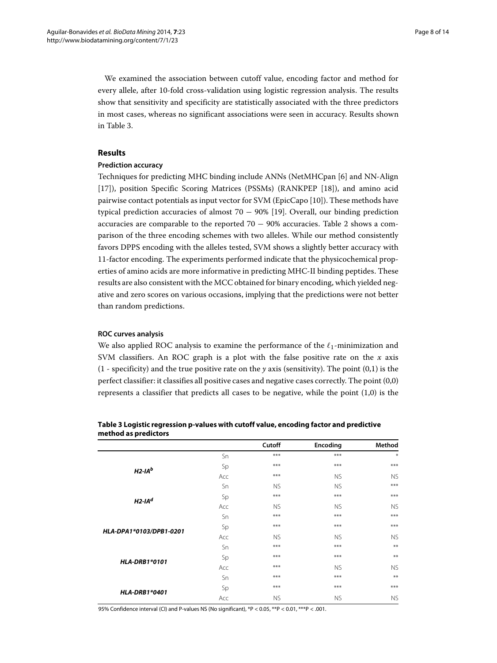We examined the association between cutoff value, encoding factor and method for every allele, after 10-fold cross-validation using logistic regression analysis. The results show that sensitivity and specificity are statistically associated with the three predictors in most cases, whereas no significant associations were seen in accuracy. Results shown in Table [3.](#page-7-0)

# <span id="page-7-1"></span>**Results**

# **Prediction accuracy**

Techniques for predicting MHC binding include ANNs (NetMHCpan [\[6\]](#page-13-5) and NN-Align [\[17\]](#page-13-16)), position Specific Scoring Matrices (PSSMs) (RANKPEP [\[18\]](#page-13-17)), and amino acid pairwise contact potentials as input vector for SVM (EpicCapo [\[10\]](#page-13-9)). These methods have typical prediction accuracies of almost  $70 - 90\%$  [\[19\]](#page-13-18). Overall, our binding prediction accuracies are comparable to the reported  $70 - 90\%$  accuracies. Table [2](#page-6-1) shows a comparison of the three encoding schemes with two alleles. While our method consistently favors DPPS encoding with the alleles tested, SVM shows a slightly better accuracy with 11-factor encoding. The experiments performed indicate that the physicochemical properties of amino acids are more informative in predicting MHC-II binding peptides. These results are also consistent with the MCC obtained for binary encoding, which yielded negative and zero scores on various occasions, implying that the predictions were not better than random predictions.

# **ROC curves analysis**

We also applied ROC analysis to examine the performance of the  $\ell_1$ -minimization and SVM classifiers. An ROC graph is a plot with the false positive rate on the *x* axis  $(1 - \text{specificity})$  and the true positive rate on the *y* axis (sensitivity). The point  $(0,1)$  is the perfect classifier: it classifies all positive cases and negative cases correctly. The point (0,0) represents a classifier that predicts all cases to be negative, while the point (1,0) is the

|                         |     | Cutoff    | Encoding  | Method    |
|-------------------------|-----|-----------|-----------|-----------|
|                         | Sn  | $***$     | $***$     | $*$       |
| $H2-IAb$                | Sp  | $***$     | ***       | $***$     |
|                         | Acc | $***$     | <b>NS</b> | <b>NS</b> |
|                         | Sn  | <b>NS</b> | <b>NS</b> | $***$     |
|                         | Sp  | $***$     | ***       | $***$     |
| $H2$ -IA <sup>d</sup>   | Acc | <b>NS</b> | <b>NS</b> | <b>NS</b> |
|                         | Sn  | $***$     | ***       | $***$     |
|                         | Sp  | $***$     | ***       | $***$     |
| HLA-DPA1*0103/DPB1-0201 | Acc | <b>NS</b> | <b>NS</b> | <b>NS</b> |
|                         | Sn  | $***$     | $***$     | $***$     |
|                         | Sp  | $***$     | ***       | $***$     |
| <b>HLA-DRB1*0101</b>    | Acc | $***$     | <b>NS</b> | <b>NS</b> |
|                         | Sn  | $***$     | ***       | $**$      |
|                         | Sp  | $***$     | $***$     | $***$     |
| <b>HLA-DRB1*0401</b>    | Acc | <b>NS</b> | <b>NS</b> | <b>NS</b> |

<span id="page-7-0"></span>**Table 3 Logistic regression p-values with cutoff value, encoding factor and predictive method as predictors**

95% Confidence interval (CI) and P-values NS (No significant), \*P < 0.05, \*\*P < 0.01, \*\*\*P < .001.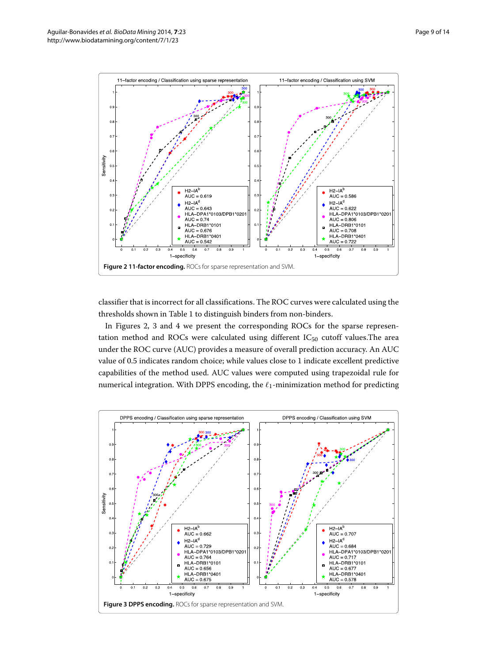

<span id="page-8-0"></span>classifier that is incorrect for all classifications. The ROC curves were calculated using the thresholds shown in Table [1](#page-2-0) to distinguish binders from non-binders.

In Figures [2,](#page-8-0) [3](#page-8-1) and [4](#page-9-0) we present the corresponding ROCs for the sparse representation method and ROCs were calculated using different  $IC_{50}$  cutoff values. The area under the ROC curve (AUC) provides a measure of overall prediction accuracy. An AUC value of 0.5 indicates random choice; while values close to 1 indicate excellent predictive capabilities of the method used. AUC values were computed using trapezoidal rule for numerical integration. With DPPS encoding, the  $\ell_1$ -minimization method for predicting

<span id="page-8-1"></span>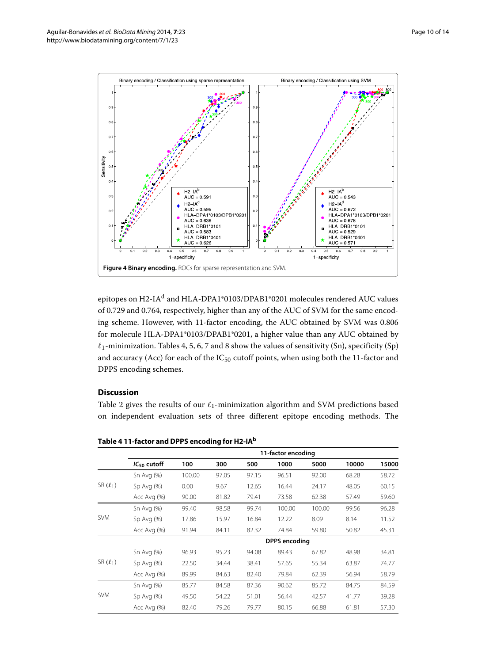

<span id="page-9-0"></span>epitopes on H2-IA<sup>d</sup> and HLA-DPA1\*0103/DPAB1\*0201 molecules rendered AUC values of 0.729 and 0.764, respectively, higher than any of the AUC of SVM for the same encoding scheme. However, with 11-factor encoding, the AUC obtained by SVM was 0.806 for molecule HLA-DPA1\*0103/DPAB1\*0201, a higher value than any AUC obtained by  $\ell_1$ -minimization. Tables [4,](#page-9-1) [5,](#page-10-0) [6,](#page-10-1) [7](#page-11-0) and [8](#page-11-1) show the values of sensitivity (Sn), specificity (Sp) and accuracy (Acc) for each of the  $IC_{50}$  cutoff points, when using both the 11-factor and DPPS encoding schemes.

# **Discussion**

Table [2](#page-6-1) gives the results of our  $\ell_1$ -minimization algorithm and SVM predictions based on independent evaluation sets of three different epitope encoding methods. The

|               | 11-factor encoding   |        |       |       |        |        |       |       |  |
|---------------|----------------------|--------|-------|-------|--------|--------|-------|-------|--|
|               | $IC_{50}$ cutoff     | 100    | 300   | 500   | 1000   | 5000   | 10000 | 15000 |  |
|               | Sn Avg $(%)$         | 100.00 | 97.05 | 97.15 | 96.51  | 92.00  | 68.28 | 58.72 |  |
| SR $(\ell_1)$ | $Sp$ Avg $(\%)$      | 0.00   | 9.67  | 12.65 | 16.44  | 24.17  | 48.05 | 60.15 |  |
|               | Acc Avg (%)          | 90.00  | 81.82 | 79.41 | 73.58  | 62.38  | 57.49 | 59.60 |  |
|               | Sn Avg $(%)$         | 99.40  | 98.58 | 99.74 | 100.00 | 100.00 | 99.56 | 96.28 |  |
| <b>SVM</b>    | $Sp$ Avg $(\%)$      | 17.86  | 15.97 | 16.84 | 12.22  | 8.09   | 8.14  | 11.52 |  |
|               | Acc Avg (%)          | 91.94  | 84.11 | 82.32 | 74.84  | 59.80  | 50.82 | 45.31 |  |
|               | <b>DPPS</b> encoding |        |       |       |        |        |       |       |  |
|               | Sn Avg $(%)$         | 96.93  | 95.23 | 94.08 | 89.43  | 67.82  | 48.98 | 34.81 |  |
| SR $(\ell_1)$ | $Sp$ Avg $(\%)$      | 22.50  | 34.44 | 38.41 | 57.65  | 55.34  | 63.87 | 74.77 |  |
|               | Acc Avg (%)          | 89.99  | 84.63 | 82.40 | 79.84  | 62.39  | 56.94 | 58.79 |  |
|               | Sn Avg $(%)$         | 85.77  | 84.58 | 87.36 | 90.62  | 85.72  | 84.75 | 84.59 |  |
| <b>SVM</b>    | $Sp$ Avg $(\%)$      | 49.50  | 54.22 | 51.01 | 56.44  | 42.57  | 41.77 | 39.28 |  |
|               | Acc Avg (%)          | 82.40  | 79.26 | 79.77 | 80.15  | 66.88  | 61.81 | 57.30 |  |

<span id="page-9-1"></span>**Table 4 11-factor and DPPS encoding for H2-IAb**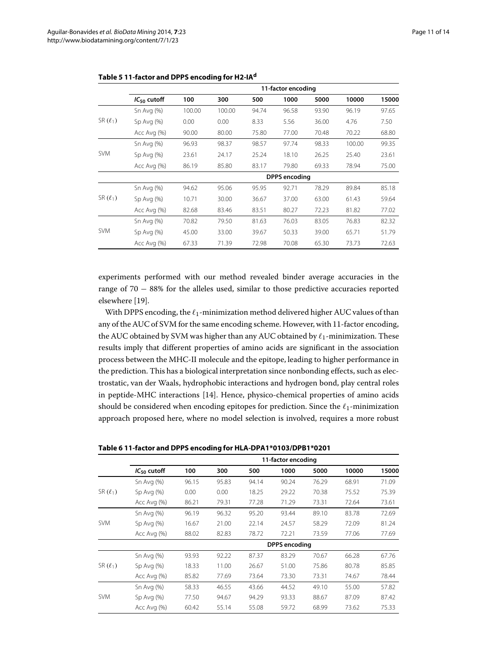|               | 11-factor encoding   |        |        |       |       |       |        |       |  |
|---------------|----------------------|--------|--------|-------|-------|-------|--------|-------|--|
|               | $IC_{50}$ cutoff     | 100    | 300    | 500   | 1000  | 5000  | 10000  | 15000 |  |
|               | Sn Avg $(\%)$        | 100.00 | 100.00 | 94.74 | 96.58 | 93.90 | 96.19  | 97.65 |  |
| SR $(\ell_1)$ | $Sp$ Avg $(%)$       | 0.00   | 0.00   | 8.33  | 5.56  | 36.00 | 4.76   | 7.50  |  |
|               | Acc Avg (%)          | 90.00  | 80.00  | 75.80 | 77.00 | 70.48 | 70.22  | 68.80 |  |
|               | Sn Avg $(\%)$        | 96.93  | 98.37  | 98.57 | 97.74 | 98.33 | 100.00 | 99.35 |  |
| <b>SVM</b>    | $Sp$ Avg $(%)$       | 23.61  | 24.17  | 25.24 | 18.10 | 26.25 | 25.40  | 23.61 |  |
|               | Acc Avg $(\%)$       | 86.19  | 85.80  | 83.17 | 79.80 | 69.33 | 78.94  | 75.00 |  |
|               | <b>DPPS</b> encoding |        |        |       |       |       |        |       |  |
|               | Sn Avg $(%)$         | 94.62  | 95.06  | 95.95 | 92.71 | 78.29 | 89.84  | 85.18 |  |
| SR $(\ell_1)$ | $Sp$ Avg $(%)$       | 10.71  | 30.00  | 36.67 | 37.00 | 63.00 | 61.43  | 59.64 |  |
|               | Acc Avg (%)          | 82.68  | 83.46  | 83.51 | 80.27 | 72.23 | 81.82  | 77.02 |  |
|               | Sn Avg $(%)$         | 70.82  | 79.50  | 81.63 | 76.03 | 83.05 | 76.83  | 82.32 |  |
| <b>SVM</b>    | $Sp$ Avg $(\%)$      | 45.00  | 33.00  | 39.67 | 50.33 | 39.00 | 65.71  | 51.79 |  |
|               | Acc Avg (%)          | 67.33  | 71.39  | 72.98 | 70.08 | 65.30 | 73.73  | 72.63 |  |

#### <span id="page-10-0"></span>**Table 5 11-factor and DPPS encoding for H2-IAd**

experiments performed with our method revealed binder average accuracies in the range of 70 − 88% for the alleles used, similar to those predictive accuracies reported elsewhere [\[19\]](#page-13-18).

With DPPS encoding, the  $\ell_1$ -minimization method delivered higher AUC values of than any of the AUC of SVM for the same encoding scheme. However, with 11-factor encoding, the AUC obtained by SVM was higher than any AUC obtained by  $\ell_1$ -minimization. These results imply that different properties of amino acids are significant in the association process between the MHC-II molecule and the epitope, leading to higher performance in the prediction. This has a biological interpretation since nonbonding effects, such as electrostatic, van der Waals, hydrophobic interactions and hydrogen bond, play central roles in peptide-MHC interactions [\[14\]](#page-13-13). Hence, physico-chemical properties of amino acids should be considered when encoding epitopes for prediction. Since the  $\ell_1$ -minimization approach proposed here, where no model selection is involved, requires a more robust

<span id="page-10-1"></span>

|  | Table 6 11-factor and DPPS encoding for HLA-DPA1*0103/DPB1*0201 |
|--|-----------------------------------------------------------------|
|--|-----------------------------------------------------------------|

|              | 11-factor encoding |       |       |       |                      |       |       |       |  |  |
|--------------|--------------------|-------|-------|-------|----------------------|-------|-------|-------|--|--|
|              | $IC_{50}$ cutoff   | 100   | 300   | 500   | 1000                 | 5000  | 10000 | 15000 |  |  |
|              | Sn Avg $(\%)$      | 96.15 | 95.83 | 94.14 | 90.24                | 76.29 | 68.91 | 71.09 |  |  |
| $SR(\ell_1)$ | Sp Avg (%)         | 0.00  | 0.00  | 18.25 | 29.22                | 70.38 | 75.52 | 75.39 |  |  |
|              | Acc Avg (%)        | 86.21 | 79.31 | 77.28 | 71.29                | 73.31 | 72.64 | 73.61 |  |  |
|              | Sn Avg $(\%)$      | 96.19 | 96.32 | 95.20 | 93.44                | 89.10 | 83.78 | 72.69 |  |  |
| <b>SVM</b>   | Sp $Avq$ $(\%)$    | 16.67 | 21.00 | 22.14 | 24.57                | 58.29 | 72.09 | 81.24 |  |  |
|              | Acc Avg (%)        | 88.02 | 82.83 | 78.72 | 72.21                | 73.59 | 77.06 | 77.69 |  |  |
|              |                    |       |       |       | <b>DPPS</b> encoding |       |       |       |  |  |
|              | Sn Avg $(\%)$      | 93.93 | 92.22 | 87.37 | 83.29                | 70.67 | 66.28 | 67.76 |  |  |
| $SR(\ell_1)$ | Sp $Avq$ $(\%)$    | 18.33 | 11.00 | 26.67 | 51.00                | 75.86 | 80.78 | 85.85 |  |  |
|              | Acc Avg (%)        | 85.82 | 77.69 | 73.64 | 73.30                | 73.31 | 74.67 | 78.44 |  |  |
|              | Sn Avg $(\%)$      | 58.33 | 46.55 | 43.66 | 44.52                | 49.10 | 55.00 | 57.82 |  |  |
| <b>SVM</b>   | Sp $Avq$ $(\%)$    | 77.50 | 94.67 | 94.29 | 93.33                | 88.67 | 87.09 | 87.42 |  |  |
|              | Acc Avg (%)        | 60.42 | 55.14 | 55.08 | 59.72                | 68.99 | 73.62 | 75.33 |  |  |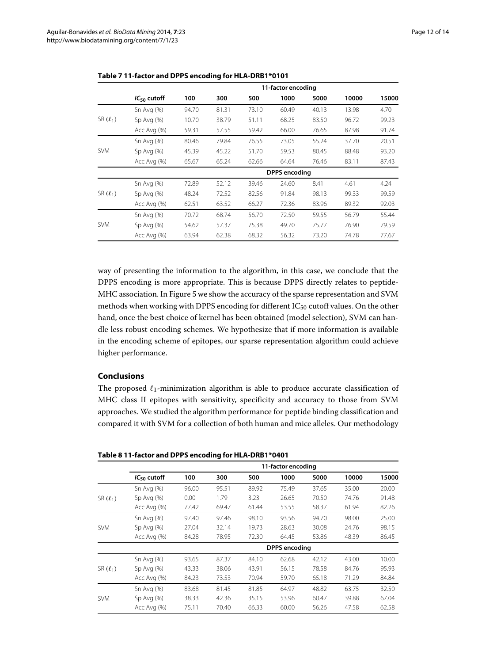|               | 11-factor encoding   |       |       |       |       |       |       |       |  |
|---------------|----------------------|-------|-------|-------|-------|-------|-------|-------|--|
|               | $IC_{50}$ cutoff     | 100   | 300   | 500   | 1000  | 5000  | 10000 | 15000 |  |
|               | Sn Avg $(%)$         | 94.70 | 81.31 | 73.10 | 60.49 | 40.13 | 13.98 | 4.70  |  |
| SR $(\ell_1)$ | $Sp$ Avg $(\%)$      | 10.70 | 38.79 | 51.11 | 68.25 | 83.50 | 96.72 | 99.23 |  |
|               | Acc Avg (%)          | 59.31 | 57.55 | 59.42 | 66.00 | 76.65 | 87.98 | 91.74 |  |
|               | Sn Avg $(%)$         | 80.46 | 79.84 | 76.55 | 73.05 | 55.24 | 37.70 | 20.51 |  |
| <b>SVM</b>    | $Sp$ Avg $(\%)$      | 45.39 | 45.22 | 51.70 | 59.53 | 80.45 | 88.48 | 93.20 |  |
|               | Acc Avg (%)          | 65.67 | 65.24 | 62.66 | 64.64 | 76.46 | 83.11 | 87.43 |  |
|               | <b>DPPS</b> encoding |       |       |       |       |       |       |       |  |
|               | Sn Avg $(%)$         | 72.89 | 52.12 | 39.46 | 24.60 | 8.41  | 4.61  | 4.24  |  |
| SR $(\ell_1)$ | Sp Avg (%)           | 48.24 | 72.52 | 82.56 | 91.84 | 98.13 | 99.33 | 99.59 |  |
|               | Acc Avg (%)          | 62.51 | 63.52 | 66.27 | 72.36 | 83.96 | 89.32 | 92.03 |  |
|               | Sn Avg $(%)$         | 70.72 | 68.74 | 56.70 | 72.50 | 59.55 | 56.79 | 55.44 |  |
| <b>SVM</b>    | $Sp$ Avg $(\%)$      | 54.62 | 57.37 | 75.38 | 49.70 | 75.77 | 76.90 | 79.59 |  |
|               | Acc Avg (%)          | 63.94 | 62.38 | 68.32 | 56.32 | 73.20 | 74.78 | 77.67 |  |

<span id="page-11-0"></span>

|  |  |  | Table 7 11-factor and DPPS encoding for HLA-DRB1*0101 |
|--|--|--|-------------------------------------------------------|
|--|--|--|-------------------------------------------------------|

way of presenting the information to the algorithm, in this case, we conclude that the DPPS encoding is more appropriate. This is because DPPS directly relates to peptide-MHC association. In Figure [5](#page-12-0) we show the accuracy of the sparse representation and SVM methods when working with DPPS encoding for different  $IC_{50}$  cutoff values. On the other hand, once the best choice of kernel has been obtained (model selection), SVM can handle less robust encoding schemes. We hypothesize that if more information is available in the encoding scheme of epitopes, our sparse representation algorithm could achieve higher performance.

# **Conclusions**

The proposed  $\ell_1$ -minimization algorithm is able to produce accurate classification of MHC class II epitopes with sensitivity, specificity and accuracy to those from SVM approaches. We studied the algorithm performance for peptide binding classification and compared it with SVM for a collection of both human and mice alleles. Our methodology

<span id="page-11-1"></span>

|  |  | Table 8 11-factor and DPPS encoding for HLA-DRB1*0401 |  |  |
|--|--|-------------------------------------------------------|--|--|
|--|--|-------------------------------------------------------|--|--|

|               |                      | 11-factor encoding |       |       |       |       |       |       |  |  |  |
|---------------|----------------------|--------------------|-------|-------|-------|-------|-------|-------|--|--|--|
|               | $IC_{50}$ cutoff     | 100                | 300   | 500   | 1000  | 5000  | 10000 | 15000 |  |  |  |
|               | Sn Avg $(\%)$        | 96.00              | 95.51 | 89.92 | 75.49 | 37.65 | 35.00 | 20.00 |  |  |  |
| $SR(\ell_1)$  | Sp Avg (%)           | 0.00 <sub>1</sub>  | 1.79  | 3.23  | 26.65 | 70.50 | 74.76 | 91.48 |  |  |  |
|               | Acc Avg (%)          | 77.42              | 69.47 | 61.44 | 53.55 | 58.37 | 61.94 | 82.26 |  |  |  |
|               | Sn Avg $(%)$         | 97.40              | 97.46 | 98.10 | 93.56 | 94.70 | 98.00 | 25.00 |  |  |  |
| <b>SVM</b>    | $Sp$ Avg $(\%)$      | 27.04              | 32.14 | 19.73 | 28.63 | 30.08 | 24.76 | 98.15 |  |  |  |
|               | Acc Avg (%)          | 84.28              | 78.95 | 72.30 | 64.45 | 53.86 | 48.39 | 86.45 |  |  |  |
|               | <b>DPPS</b> encoding |                    |       |       |       |       |       |       |  |  |  |
|               | Sn Avg (%)           | 93.65              | 87.37 | 84.10 | 62.68 | 42.12 | 43.00 | 10.00 |  |  |  |
| SR $(\ell_1)$ | $Sp$ Avg $(%)$       | 43.33              | 38.06 | 43.91 | 56.15 | 78.58 | 84.76 | 95.93 |  |  |  |
|               | Acc Avg (%)          | 84.23              | 73.53 | 70.94 | 59.70 | 65.18 | 71.29 | 84.84 |  |  |  |
|               | Sn Avg $(%)$         | 83.68              | 81.45 | 81.85 | 64.97 | 48.82 | 63.75 | 32.50 |  |  |  |
| <b>SVM</b>    | $Sp$ Avg $(\%)$      | 38.33              | 42.36 | 35.15 | 53.96 | 60.47 | 39.88 | 67.04 |  |  |  |
|               | Acc Avg (%)          | 75.11              | 70.40 | 66.33 | 60.00 | 56.26 | 47.58 | 62.58 |  |  |  |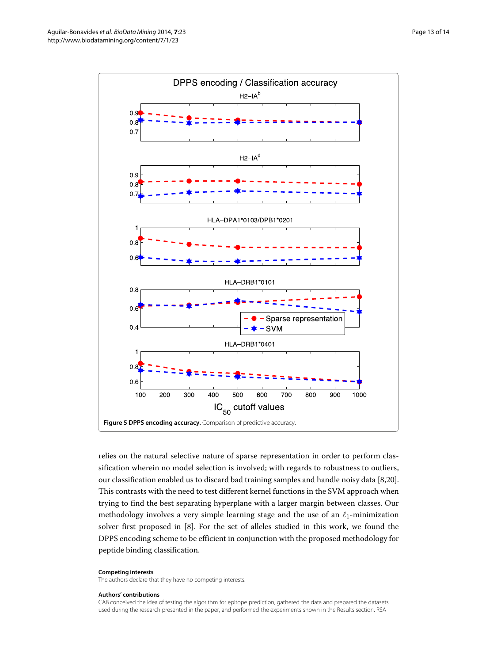

<span id="page-12-0"></span>relies on the natural selective nature of sparse representation in order to perform classification wherein no model selection is involved; with regards to robustness to outliers, our classification enabled us to discard bad training samples and handle noisy data [\[8,](#page-13-7)[20\]](#page-13-19). This contrasts with the need to test different kernel functions in the SVM approach when trying to find the best separating hyperplane with a larger margin between classes. Our methodology involves a very simple learning stage and the use of an  $\ell_1$ -minimization solver first proposed in [\[8\]](#page-13-7). For the set of alleles studied in this work, we found the DPPS encoding scheme to be efficient in conjunction with the proposed methodology for peptide binding classification.

#### **Competing interests**

The authors declare that they have no competing interests.

#### **Authors' contributions**

CAB conceived the idea of testing the algorithm for epitope prediction, gathered the data and prepared the datasets used during the research presented in the paper, and performed the experiments shown in the [Results](#page-7-1) section. RSA